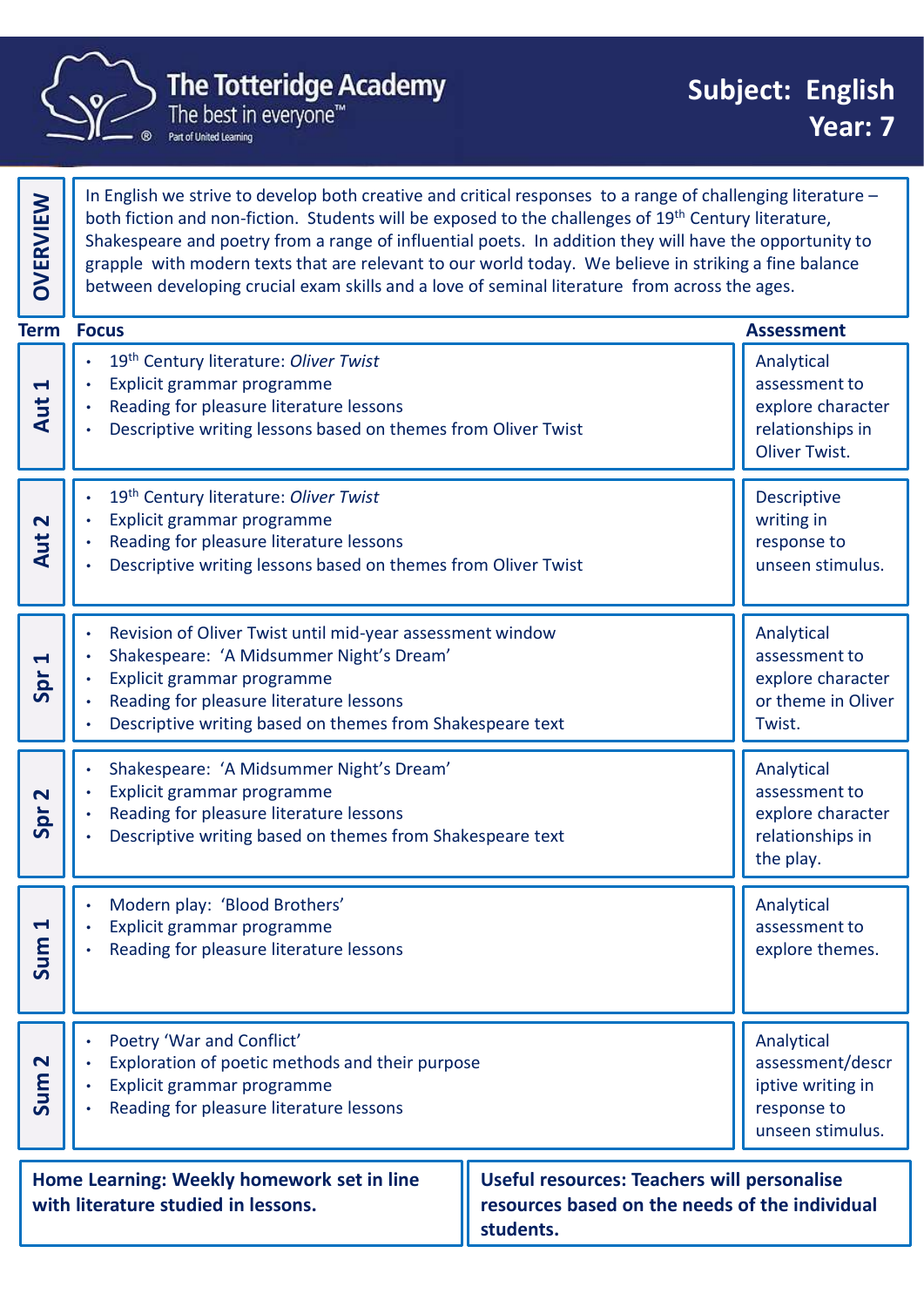

|                                | The Totteridge Academy<br>The best in everyone <sup>"</sup><br>Part of United Learning                                                                                                                                                                                                                                                                                                                                                                                                                                                   | <b>Subject: English</b><br>Year: 7                                                     |
|--------------------------------|------------------------------------------------------------------------------------------------------------------------------------------------------------------------------------------------------------------------------------------------------------------------------------------------------------------------------------------------------------------------------------------------------------------------------------------------------------------------------------------------------------------------------------------|----------------------------------------------------------------------------------------|
| <b>OVERVIEW</b>                | In English we strive to develop both creative and critical responses to a range of challenging literature -<br>both fiction and non-fiction. Students will be exposed to the challenges of 19th Century literature,<br>Shakespeare and poetry from a range of influential poets. In addition they will have the opportunity to<br>grapple with modern texts that are relevant to our world today. We believe in striking a fine balance<br>between developing crucial exam skills and a love of seminal literature from across the ages. |                                                                                        |
| <b>Term Focus</b>              |                                                                                                                                                                                                                                                                                                                                                                                                                                                                                                                                          | <b>Assessment</b>                                                                      |
| $\blacktriangleleft$<br>Aut    | 19th Century literature: Oliver Twist<br>Explicit grammar programme<br>Reading for pleasure literature lessons<br>Descriptive writing lessons based on themes from Oliver Twist                                                                                                                                                                                                                                                                                                                                                          | Analytical<br>assessment to<br>explore character<br>relationships in<br>Oliver Twist.  |
| $\mathbf{\Omega}$<br>Aut       | 19th Century literature: Oliver Twist<br>Explicit grammar programme<br>Reading for pleasure literature lessons<br>Descriptive writing lessons based on themes from Oliver Twist                                                                                                                                                                                                                                                                                                                                                          | Descriptive<br>writing in<br>response to<br>unseen stimulus.                           |
| $\blacktriangleleft$<br>Spr    | Revision of Oliver Twist until mid-year assessment window<br>Shakespeare: 'A Midsummer Night's Dream'<br>Explicit grammar programme<br>Reading for pleasure literature lessons<br>Descriptive writing based on themes from Shakespeare text                                                                                                                                                                                                                                                                                              | Analytical<br>assessment to<br>explore character<br>or theme in Oliver<br>Twist.       |
| $\overline{\mathbf{N}}$<br>Spr | Shakespeare: 'A Midsummer Night's Dream'<br>Explicit grammar programme<br>Reading for pleasure literature lessons<br>Descriptive writing based on themes from Shakespeare text                                                                                                                                                                                                                                                                                                                                                           | Analytical<br>assessment to<br>explore character<br>relationships in<br>the play.      |
| $\blacktriangleleft$<br>Sum    | Modern play: 'Blood Brothers'<br>Explicit grammar programme<br>Reading for pleasure literature lessons                                                                                                                                                                                                                                                                                                                                                                                                                                   | Analytical<br>assessment to<br>explore themes.                                         |
| $\mathbf{\Omega}$<br>Sum       | Poetry 'War and Conflict'<br>Exploration of poetic methods and their purpose<br>Explicit grammar programme<br>Reading for pleasure literature lessons                                                                                                                                                                                                                                                                                                                                                                                    | Analytical<br>assessment/descr<br>iptive writing in<br>response to<br>unseen stimulus. |
|                                | Home Learning: Weekly homework set in line<br><b>Useful resources: Teachers will personalise</b><br>resources based on the needs of the individual<br>with literature studied in lessons.                                                                                                                                                                                                                                                                                                                                                |                                                                                        |

students.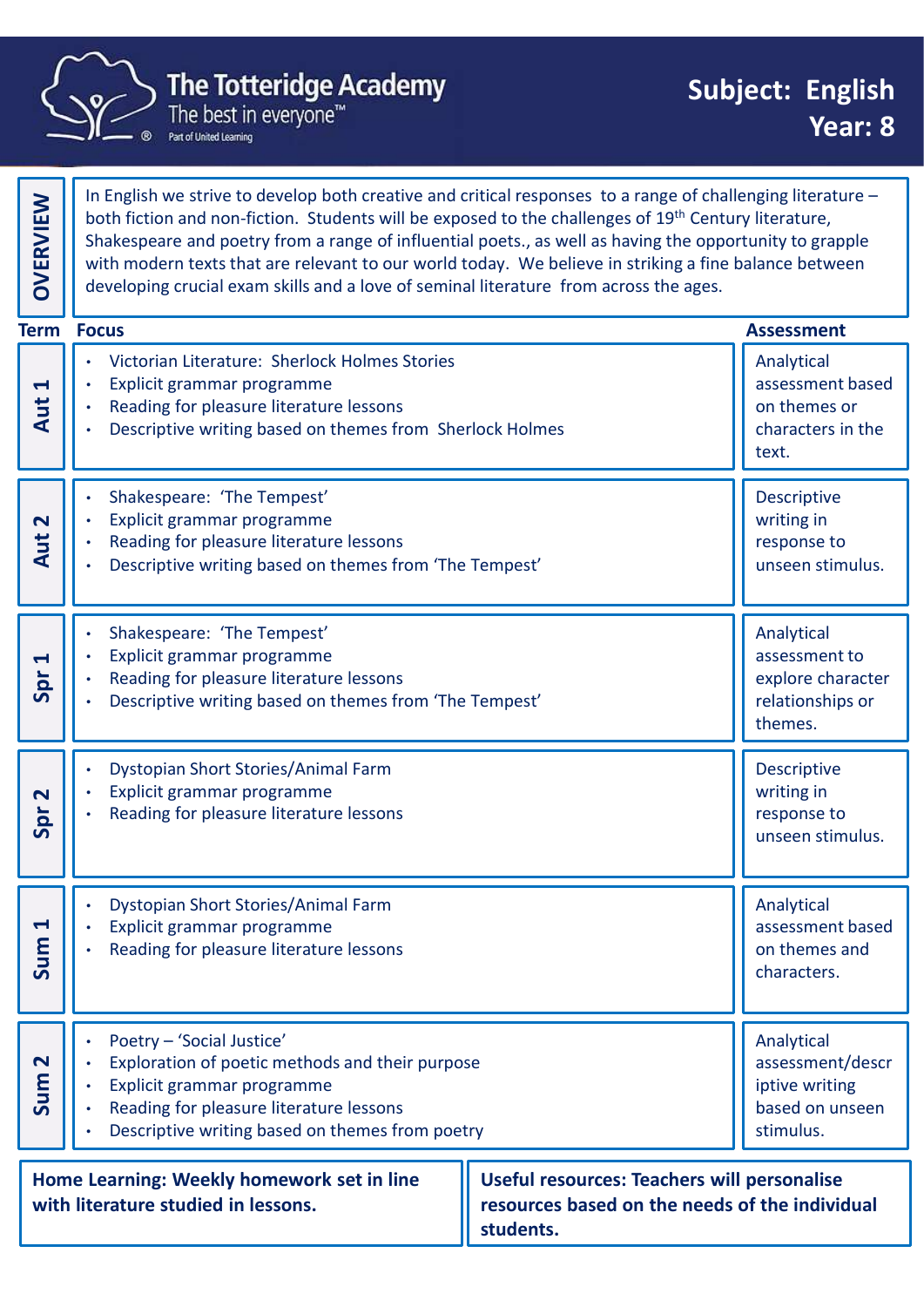

In English we strive to develop both creative and critical responses to a range of challenging literature – both fiction and non-fiction. Students will be exposed to the challenges of 19<sup>th</sup> Century literature, Shakespeare and poetry from a range of influential poets., as well as having the opportunity to grapple with modern texts that are relevant to our world today. We believe in striking a fine balance between In English we strive to develop both creative and critical responses to a range of challenging literature,<br>both fiction and non-fiction. Students will be exposed to the challenges of 19<sup>th</sup> Century literature,<br>Shakespeare • Victorian Literature: Sherlock Holmes Stories • Explicit grammar programme • Reading for pleasure literature lessons • Descriptive writing based on themes from Sherlock Holmes Analytical assessment based on themes or characters in the The Totteridge Academy<br>
The best in everyone"<br>
The heat is in everyone"<br>
The heat in everyone"<br>
The heat in everyone"<br>
Start and non-fiction, Students will be exposed to the challenges of  $19$ <sup>m</sup> Century literature is that • Shakespeare: 'The Tempest' • Explicit grammar programme • Reading for pleasure literature lessons • Descriptive writing based on themes from 'The Tempest' Descriptive writing in response to a range of challenging literature<br>
both fiction and non-fiction. Students will be exposed to the challenges of 19<sup>th</sup> Century literature -<br>
both fiction and non-fiction. Students will be exposed to the challeng • Explicit grammar programme • Reading for pleasure literature lessons • Descriptive writing based on themes from 'The Tempest' Analytical assessment to explore character relationships or THE THE TERREST THE TERREST THE TERREST THEORET THEORET THEORET THEORET THEORET THEORET THEORET THEORET THEORET THEORET THEORET THEORET THEORET THEORET THEORET THEORET THEORET THEORET THEORET THEORET THEORET THEORET THEORE • Dystopian Short Stories/Animal Farm • Explicit grammar programme • Reading for pleasure literature lessons Descriptive writing in response to the Space of the Emperature (and the Tempest<sup>on</sup> Characters in the Emperature Response to the Response of the Tempest of the Response of the Tempest of the Spr 2 units of the Spr 2 units of the Spr 2 units of t • Explicit grammar programme • Reading for pleasure literature lessons Analytical assessment based  $\begin{bmatrix} \bullet \\ \bullet \\ \bullet \end{bmatrix}$   $\cdot$  Explicit grammar programme<br>  $\begin{bmatrix} \bullet \\ \bullet \\ \bullet \end{bmatrix}$  assessment based<br>  $\begin{bmatrix} \bullet \\ \bullet \\ \bullet \end{bmatrix}$  Reading for pleasure literature lessons<br>  $\begin{bmatrix} \bullet \\ \bullet \\ \bullet \end{bmatrix}$  assessment based<br>  $\begin{bmatrix} \bullet \\ \bullet \\ \bullet \end{b$ • Explicit grammar programme<br>• Reading for pleasure literature lessons<br>• Descriptive writing based on themes from 'The Tempest'<br>• Dystopian Short Stories/Animal Farm<br>• Explicit grammar programme<br>• Reading for pleasure lite • Explicit grammar programme • Reading for pleasure literature lessons • Descriptive writing based on themes from poetry Analytical assessment/descr iptive writing based on unseen Summar programme<br>
Summar programme<br>
Summar programme<br>
Summar programme<br>
Summar programme<br>
Summar programme<br>
Summar programme<br>
Summar programme<br>
Summar programme<br>
Summar programme<br>
Summar programme<br>
Summar programme<br>
Summar The Totteridge Academy<br>
The Totteridge Academy<br>
The best in everyone"<br>
The heat in everyone"<br>
The heat in everyone"<br>
Shakespeare and poetry from a range of challenging literature -<br>
both fiction and non-fiction. Students w **Term Focus**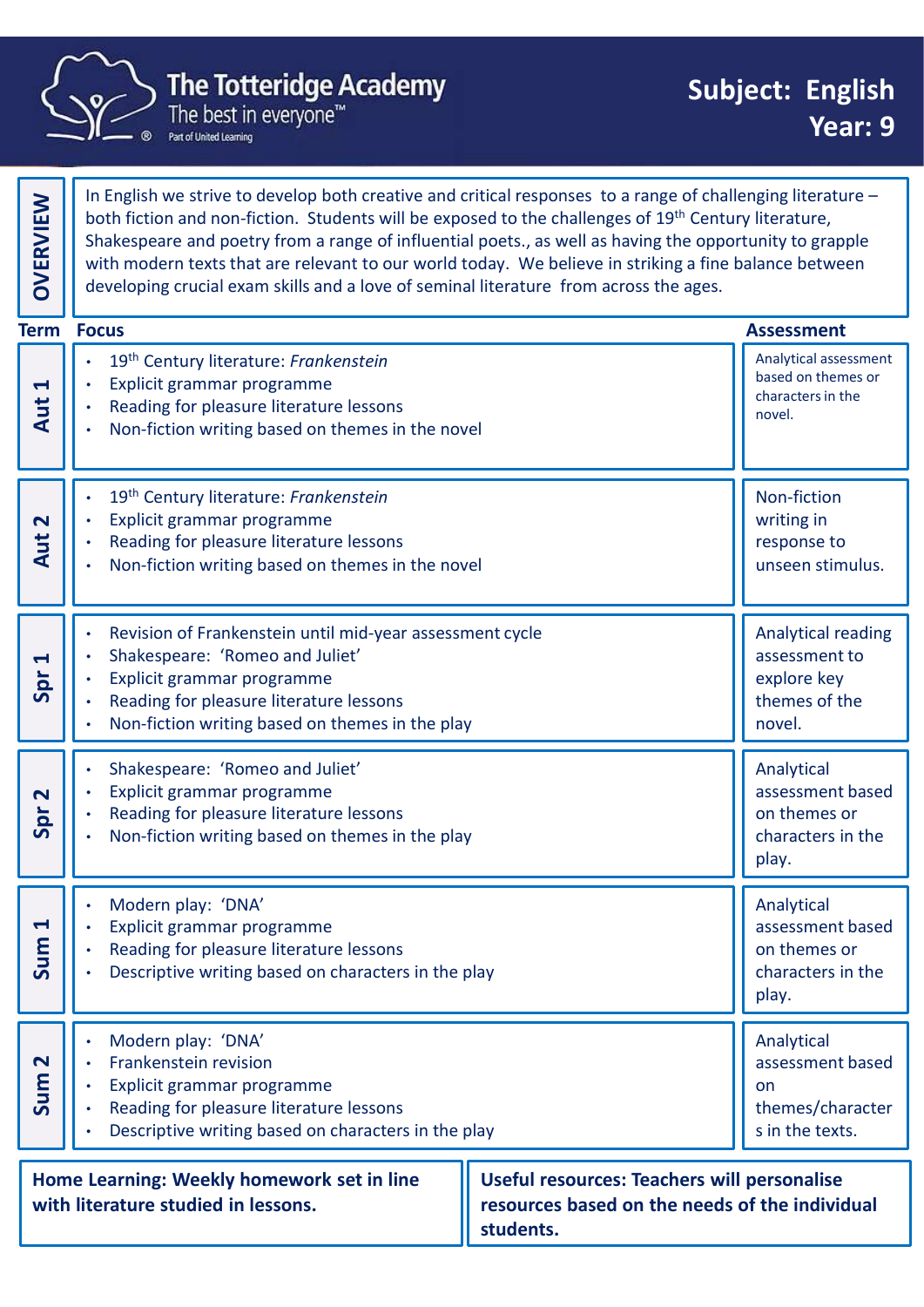

|                              | <b>The Totteridge Academy</b><br>The best in everyone™<br>Part of United Learning                                                                                                                                                                                                                                                                                                                                                                                                                                                |  |        | <b>Subject: English</b><br>Year: 9                                    |  |
|------------------------------|----------------------------------------------------------------------------------------------------------------------------------------------------------------------------------------------------------------------------------------------------------------------------------------------------------------------------------------------------------------------------------------------------------------------------------------------------------------------------------------------------------------------------------|--|--------|-----------------------------------------------------------------------|--|
| <b>OVERVIEW</b>              | In English we strive to develop both creative and critical responses to a range of challenging literature -<br>both fiction and non-fiction. Students will be exposed to the challenges of 19th Century literature,<br>Shakespeare and poetry from a range of influential poets., as well as having the opportunity to grapple<br>with modern texts that are relevant to our world today. We believe in striking a fine balance between<br>developing crucial exam skills and a love of seminal literature from across the ages. |  |        |                                                                       |  |
|                              | <b>Term Focus</b>                                                                                                                                                                                                                                                                                                                                                                                                                                                                                                                |  |        | <b>Assessment</b>                                                     |  |
| $\blacktriangleleft$<br>Aut  | 19th Century literature: Frankenstein<br>Explicit grammar programme<br>Reading for pleasure literature lessons<br>Non-fiction writing based on themes in the novel                                                                                                                                                                                                                                                                                                                                                               |  | novel. | Analytical assessment<br>based on themes or<br>characters in the      |  |
| $\mathbf N$<br>Aut           | 19th Century literature: Frankenstein<br>Explicit grammar programme<br>Reading for pleasure literature lessons<br>Non-fiction writing based on themes in the novel                                                                                                                                                                                                                                                                                                                                                               |  |        | Non-fiction<br>writing in<br>response to<br>unseen stimulus.          |  |
| $\blacktriangleright$<br>Spr | Revision of Frankenstein until mid-year assessment cycle<br>Shakespeare: 'Romeo and Juliet'<br>Explicit grammar programme<br>Reading for pleasure literature lessons<br>Non-fiction writing based on themes in the play                                                                                                                                                                                                                                                                                                          |  | novel. | Analytical reading<br>assessment to<br>explore key<br>themes of the   |  |
| $\mathbf N$<br>Spr           | Shakespeare: 'Romeo and Juliet'<br>Explicit grammar programme<br>Reading for pleasure literature lessons<br>Non-fiction writing based on themes in the play                                                                                                                                                                                                                                                                                                                                                                      |  | play.  | Analytical<br>assessment based<br>on themes or<br>characters in the   |  |
| $\blacktriangleleft$<br>Sum  | Modern play: 'DNA'<br>Explicit grammar programme<br>Reading for pleasure literature lessons<br>Descriptive writing based on characters in the play                                                                                                                                                                                                                                                                                                                                                                               |  | play.  | Analytical<br>assessment based<br>on themes or<br>characters in the   |  |
| $\mathbf{\Omega}$<br>Sum     | Modern play: 'DNA'<br>Frankenstein revision<br>Explicit grammar programme<br>Reading for pleasure literature lessons<br>Descriptive writing based on characters in the play                                                                                                                                                                                                                                                                                                                                                      |  | on     | Analytical<br>assessment based<br>themes/character<br>s in the texts. |  |
|                              | Home Learning: Weekly homework set in line<br><b>Useful resources: Teachers will personalise</b><br>with literature studied in lessons.<br>resources based on the needs of the individual                                                                                                                                                                                                                                                                                                                                        |  |        |                                                                       |  |

students.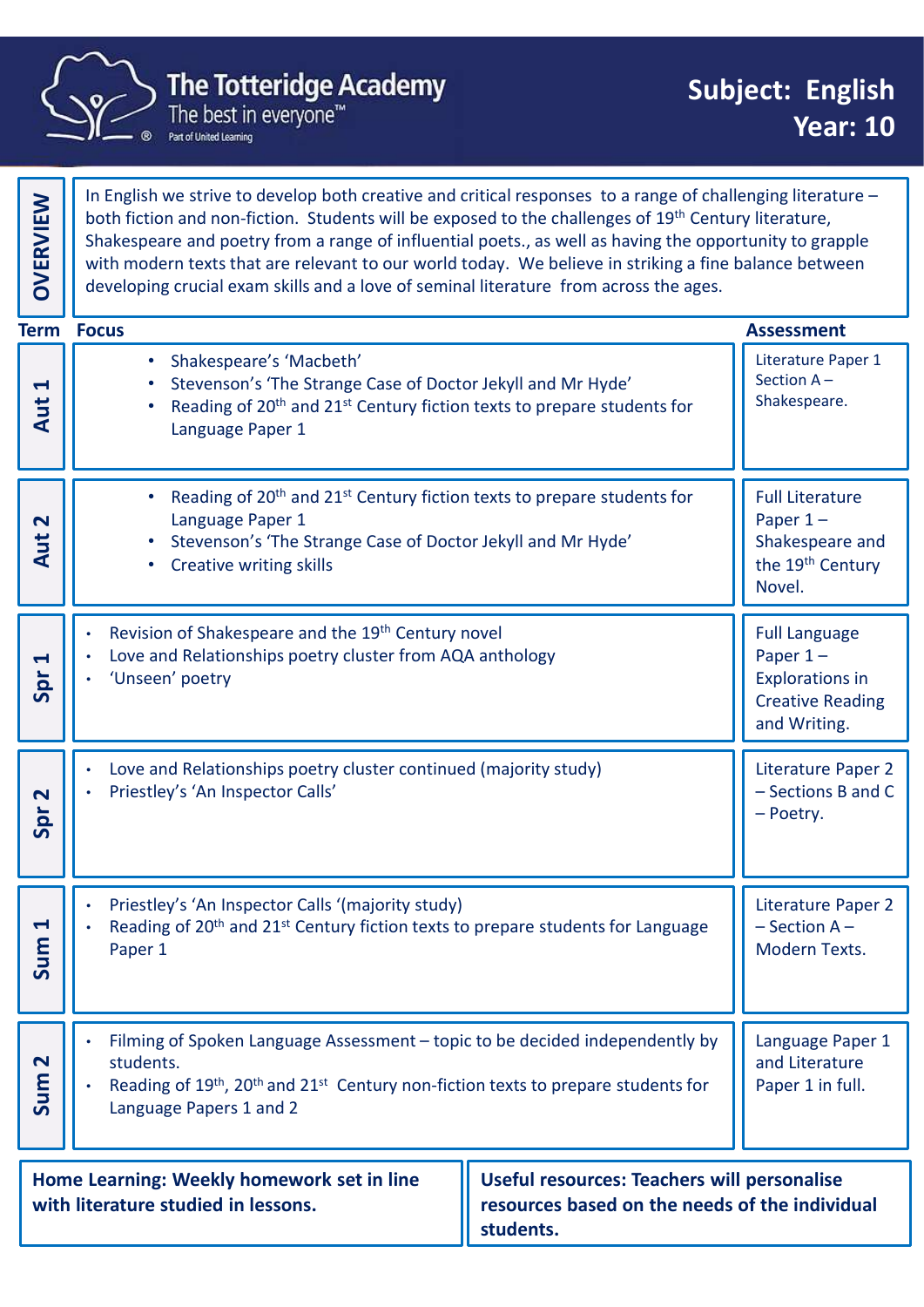

|  |                                                                                                                                                                                                        | <b>The Totteridge Academy</b><br>The best in everyone™<br>Part of United Learning                                                                                                                                                                                                                                                                                                                                                                                                                                                |  | <b>Subject: English</b>                                                                                 | <b>Year: 10</b>                          |
|--|--------------------------------------------------------------------------------------------------------------------------------------------------------------------------------------------------------|----------------------------------------------------------------------------------------------------------------------------------------------------------------------------------------------------------------------------------------------------------------------------------------------------------------------------------------------------------------------------------------------------------------------------------------------------------------------------------------------------------------------------------|--|---------------------------------------------------------------------------------------------------------|------------------------------------------|
|  | OVERVIEW                                                                                                                                                                                               | In English we strive to develop both creative and critical responses to a range of challenging literature -<br>both fiction and non-fiction. Students will be exposed to the challenges of 19th Century literature,<br>Shakespeare and poetry from a range of influential poets., as well as having the opportunity to grapple<br>with modern texts that are relevant to our world today. We believe in striking a fine balance between<br>developing crucial exam skills and a love of seminal literature from across the ages. |  |                                                                                                         |                                          |
|  |                                                                                                                                                                                                        | <b>Term Focus</b>                                                                                                                                                                                                                                                                                                                                                                                                                                                                                                                |  | <b>Assessment</b>                                                                                       |                                          |
|  | $\blacktriangleleft$<br>Aut                                                                                                                                                                            | Shakespeare's 'Macbeth'<br>Stevenson's 'The Strange Case of Doctor Jekyll and Mr Hyde'<br>Reading of 20 <sup>th</sup> and 21 <sup>st</sup> Century fiction texts to prepare students for<br>Language Paper 1                                                                                                                                                                                                                                                                                                                     |  | Literature Paper 1<br>Section $A -$<br>Shakespeare.                                                     |                                          |
|  | $\mathbf N$<br>Aut                                                                                                                                                                                     | Reading of 20 <sup>th</sup> and 21 <sup>st</sup> Century fiction texts to prepare students for<br>Language Paper 1<br>Stevenson's 'The Strange Case of Doctor Jekyll and Mr Hyde'<br>• Creative writing skills                                                                                                                                                                                                                                                                                                                   |  | <b>Full Literature</b><br>Paper $1-$<br>Shakespeare and<br>the 19 <sup>th</sup> Century<br>Novel.       |                                          |
|  | $\blacktriangleleft$<br>Spr                                                                                                                                                                            | Revision of Shakespeare and the 19 <sup>th</sup> Century novel<br>Love and Relationships poetry cluster from AQA anthology<br>'Unseen' poetry                                                                                                                                                                                                                                                                                                                                                                                    |  | <b>Full Language</b><br>Paper $1-$<br><b>Explorations in</b><br><b>Creative Reading</b><br>and Writing. |                                          |
|  | $\mathbf{\Omega}$<br>Spr                                                                                                                                                                               | Love and Relationships poetry cluster continued (majority study)<br>Priestley's 'An Inspector Calls'                                                                                                                                                                                                                                                                                                                                                                                                                             |  | - Poetry.                                                                                               | Literature Paper 2<br>- Sections B and C |
|  | $\blacktriangleleft$<br>Sum                                                                                                                                                                            | Priestley's 'An Inspector Calls '(majority study)<br>Reading of 20 <sup>th</sup> and 21 <sup>st</sup> Century fiction texts to prepare students for Language<br>Paper 1                                                                                                                                                                                                                                                                                                                                                          |  | $-$ Section A $-$<br>Modern Texts.                                                                      | Literature Paper 2                       |
|  | $\mathbf{N}$<br>Sum                                                                                                                                                                                    | Filming of Spoken Language Assessment – topic to be decided independently by<br>students.<br>Reading of 19 <sup>th</sup> , 20 <sup>th</sup> and 21 <sup>st</sup> Century non-fiction texts to prepare students for<br>Language Papers 1 and 2                                                                                                                                                                                                                                                                                    |  | Language Paper 1<br>and Literature<br>Paper 1 in full.                                                  |                                          |
|  | Home Learning: Weekly homework set in line<br><b>Useful resources: Teachers will personalise</b><br>with literature studied in lessons.<br>resources based on the needs of the individual<br>students. |                                                                                                                                                                                                                                                                                                                                                                                                                                                                                                                                  |  |                                                                                                         |                                          |